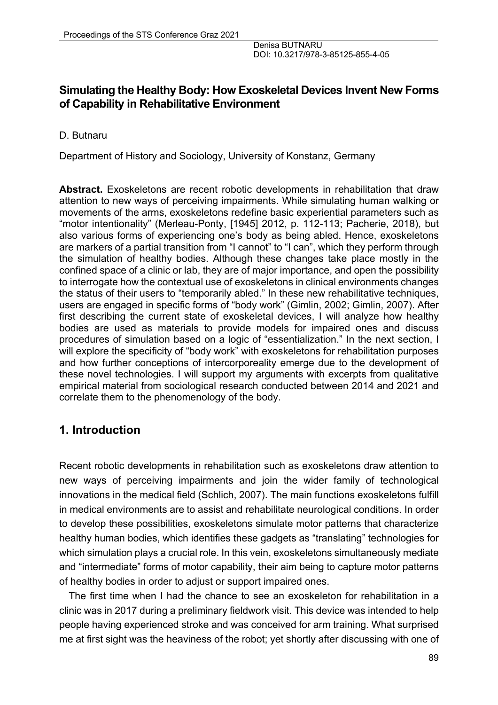### **Simulating the Healthy Body: How Exoskeletal Devices Invent New Forms of Capability in Rehabilitative Environment**

D. Butnaru

Department of History and Sociology, University of Konstanz, Germany

**Abstract.** Exoskeletons are recent robotic developments in rehabilitation that draw attention to new ways of perceiving impairments. While simulating human walking or movements of the arms, exoskeletons redefine basic experiential parameters such as "motor intentionality" (Merleau-Ponty, [1945] 2012, p. 112-113; Pacherie, 2018), but also various forms of experiencing one's body as being abled. Hence, exoskeletons are markers of a partial transition from "I cannot" to "I can", which they perform through the simulation of healthy bodies. Although these changes take place mostly in the confined space of a clinic or lab, they are of major importance, and open the possibility to interrogate how the contextual use of exoskeletons in clinical environments changes the status of their users to "temporarily abled." In these new rehabilitative techniques, users are engaged in specific forms of "body work" (Gimlin, 2002; Gimlin, 2007). After first describing the current state of exoskeletal devices, I will analyze how healthy bodies are used as materials to provide models for impaired ones and discuss procedures of simulation based on a logic of "essentialization." In the next section, I will explore the specificity of "body work" with exoskeletons for rehabilitation purposes and how further conceptions of intercorporeality emerge due to the development of these novel technologies. I will support my arguments with excerpts from qualitative empirical material from sociological research conducted between 2014 and 2021 and correlate them to the phenomenology of the body.

# **1. Introduction**

Recent robotic developments in rehabilitation such as exoskeletons draw attention to new ways of perceiving impairments and join the wider family of technological innovations in the medical field (Schlich, 2007). The main functions exoskeletons fulfill in medical environments are to assist and rehabilitate neurological conditions. In order to develop these possibilities, exoskeletons simulate motor patterns that characterize healthy human bodies, which identifies these gadgets as "translating" technologies for which simulation plays a crucial role. In this vein, exoskeletons simultaneously mediate and "intermediate" forms of motor capability, their aim being to capture motor patterns of healthy bodies in order to adjust or support impaired ones.

The first time when I had the chance to see an exoskeleton for rehabilitation in a clinic was in 2017 during a preliminary fieldwork visit. This device was intended to help people having experienced stroke and was conceived for arm training. What surprised me at first sight was the heaviness of the robot; yet shortly after discussing with one of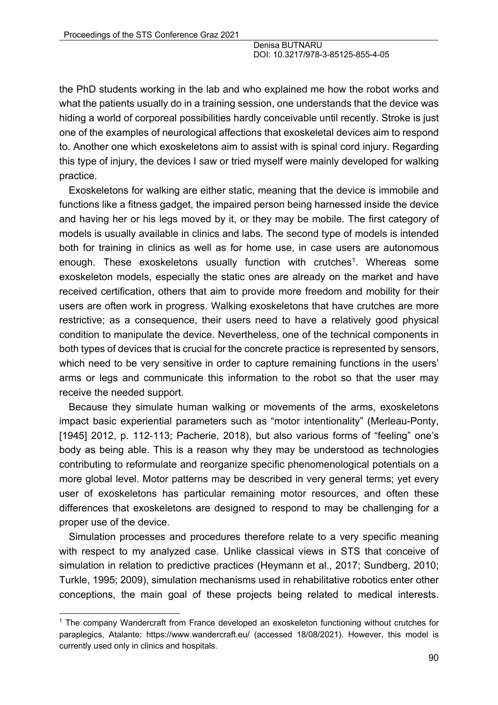the PhD students working in the lab and who explained me how the robot works and what the patients usually do in a training session, one understands that the device was hiding a world of corporeal possibilities hardly conceivable until recently. Stroke is just one of the examples of neurological affections that exoskeletal devices aim to respond to. Another one which exoskeletons aim to assist with is spinal cord injury. Regarding this type of injury, the devices I saw or tried myself were mainly developed for walking practice.

Exoskeletons for walking are either static, meaning that the device is immobile and functions like a fitness gadget, the impaired person being harnessed inside the device and having her or his legs moved by it, or they may be mobile. The first category of models is usually available in clinics and labs. The second type of models is intended both for training in clinics as well as for home use, in case users are autonomous enough. These exoskeletons usually function with crutches1. Whereas some exoskeleton models, especially the static ones are already on the market and have received certification, others that aim to provide more freedom and mobility for their users are often work in progress. Walking exoskeletons that have crutches are more restrictive; as a consequence, their users need to have a relatively good physical condition to manipulate the device. Nevertheless, one of the technical components in both types of devices that is crucial for the concrete practice is represented by sensors, which need to be very sensitive in order to capture remaining functions in the users' arms or legs and communicate this information to the robot so that the user may receive the needed support.

Because they simulate human walking or movements of the arms, exoskeletons impact basic experiential parameters such as "motor intentionality" (Merleau-Ponty, [1945] 2012, p. 112-113; Pacherie, 2018), but also various forms of "feeling" one's body as being able. This is a reason why they may be understood as technologies contributing to reformulate and reorganize specific phenomenological potentials on a more global level. Motor patterns may be described in very general terms; yet every user of exoskeletons has particular remaining motor resources, and often these differences that exoskeletons are designed to respond to may be challenging for a proper use of the device.

Simulation processes and procedures therefore relate to a very specific meaning with respect to my analyzed case. Unlike classical views in STS that conceive of simulation in relation to predictive practices (Heymann et al., 2017; Sundberg, 2010; Turkle, 1995; 2009), simulation mechanisms used in rehabilitative robotics enter other conceptions, the main goal of these projects being related to medical interests.

<sup>1</sup> The company Wandercraft from France developed an exoskeleton functioning without crutches for paraplegics, Atalante: https://www.wandercraft.eu/ (accessed 18/08/2021). However, this model is currently used only in clinics and hospitals.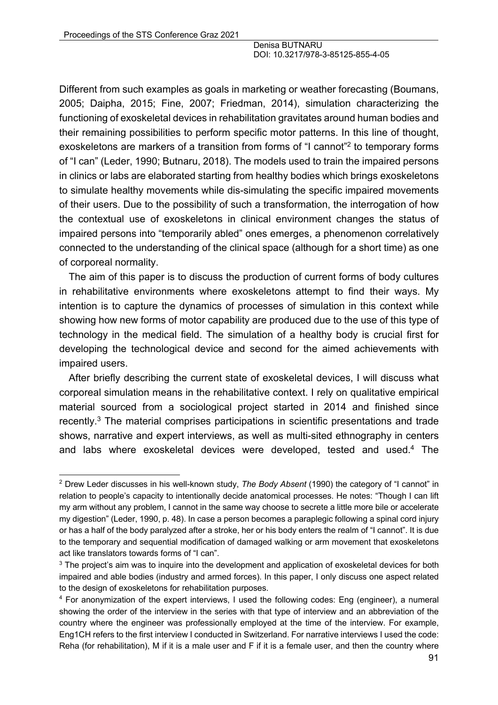Different from such examples as goals in marketing or weather forecasting (Boumans, 2005; Daipha, 2015; Fine, 2007; Friedman, 2014), simulation characterizing the functioning of exoskeletal devices in rehabilitation gravitates around human bodies and their remaining possibilities to perform specific motor patterns. In this line of thought, exoskeletons are markers of a transition from forms of "I cannot"<sup>2</sup> to temporary forms of "I can" (Leder, 1990; Butnaru, 2018). The models used to train the impaired persons in clinics or labs are elaborated starting from healthy bodies which brings exoskeletons to simulate healthy movements while dis-simulating the specific impaired movements of their users. Due to the possibility of such a transformation, the interrogation of how the contextual use of exoskeletons in clinical environment changes the status of impaired persons into "temporarily abled" ones emerges, a phenomenon correlatively connected to the understanding of the clinical space (although for a short time) as one of corporeal normality.

The aim of this paper is to discuss the production of current forms of body cultures in rehabilitative environments where exoskeletons attempt to find their ways. My intention is to capture the dynamics of processes of simulation in this context while showing how new forms of motor capability are produced due to the use of this type of technology in the medical field. The simulation of a healthy body is crucial first for developing the technological device and second for the aimed achievements with impaired users.

After briefly describing the current state of exoskeletal devices, I will discuss what corporeal simulation means in the rehabilitative context. I rely on qualitative empirical material sourced from a sociological project started in 2014 and finished since recently.<sup>3</sup> The material comprises participations in scientific presentations and trade shows, narrative and expert interviews, as well as multi-sited ethnography in centers and labs where exoskeletal devices were developed, tested and used. <sup>4</sup> The

<sup>2</sup> Drew Leder discusses in his well-known study, *The Body Absent* (1990) the category of "I cannot" in relation to people's capacity to intentionally decide anatomical processes. He notes: "Though I can lift my arm without any problem, I cannot in the same way choose to secrete a little more bile or accelerate my digestion" (Leder, 1990, p. 48). In case a person becomes a paraplegic following a spinal cord injury or has a half of the body paralyzed after a stroke, her or his body enters the realm of "I cannot". It is due to the temporary and sequential modification of damaged walking or arm movement that exoskeletons act like translators towards forms of "I can".

<sup>&</sup>lt;sup>3</sup> The project's aim was to inquire into the development and application of exoskeletal devices for both impaired and able bodies (industry and armed forces). In this paper, I only discuss one aspect related to the design of exoskeletons for rehabilitation purposes.

<sup>4</sup> For anonymization of the expert interviews, I used the following codes: Eng (engineer), a numeral showing the order of the interview in the series with that type of interview and an abbreviation of the country where the engineer was professionally employed at the time of the interview. For example, Eng1CH refers to the first interview I conducted in Switzerland. For narrative interviews I used the code: Reha (for rehabilitation), M if it is a male user and F if it is a female user, and then the country where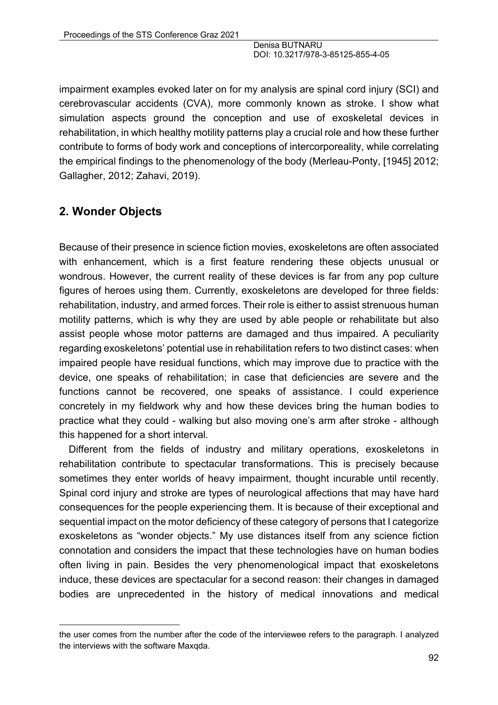impairment examples evoked later on for my analysis are spinal cord injury (SCI) and cerebrovascular accidents (CVA), more commonly known as stroke. I show what simulation aspects ground the conception and use of exoskeletal devices in rehabilitation, in which healthy motility patterns play a crucial role and how these further contribute to forms of body work and conceptions of intercorporeality, while correlating the empirical findings to the phenomenology of the body (Merleau-Ponty, [1945] 2012; Gallagher, 2012; Zahavi, 2019).

# **2. Wonder Objects**

Because of their presence in science fiction movies, exoskeletons are often associated with enhancement, which is a first feature rendering these objects unusual or wondrous. However, the current reality of these devices is far from any pop culture figures of heroes using them. Currently, exoskeletons are developed for three fields: rehabilitation, industry, and armed forces. Their role is either to assist strenuous human motility patterns, which is why they are used by able people or rehabilitate but also assist people whose motor patterns are damaged and thus impaired. A peculiarity regarding exoskeletons' potential use in rehabilitation refers to two distinct cases: when impaired people have residual functions, which may improve due to practice with the device, one speaks of rehabilitation; in case that deficiencies are severe and the functions cannot be recovered, one speaks of assistance. I could experience concretely in my fieldwork why and how these devices bring the human bodies to practice what they could - walking but also moving one's arm after stroke - although this happened for a short interval.

Different from the fields of industry and military operations, exoskeletons in rehabilitation contribute to spectacular transformations. This is precisely because sometimes they enter worlds of heavy impairment, thought incurable until recently. Spinal cord injury and stroke are types of neurological affections that may have hard consequences for the people experiencing them. It is because of their exceptional and sequential impact on the motor deficiency of these category of persons that I categorize exoskeletons as "wonder objects." My use distances itself from any science fiction connotation and considers the impact that these technologies have on human bodies often living in pain. Besides the very phenomenological impact that exoskeletons induce, these devices are spectacular for a second reason: their changes in damaged bodies are unprecedented in the history of medical innovations and medical

the user comes from the number after the code of the interviewee refers to the paragraph. I analyzed the interviews with the software Maxqda.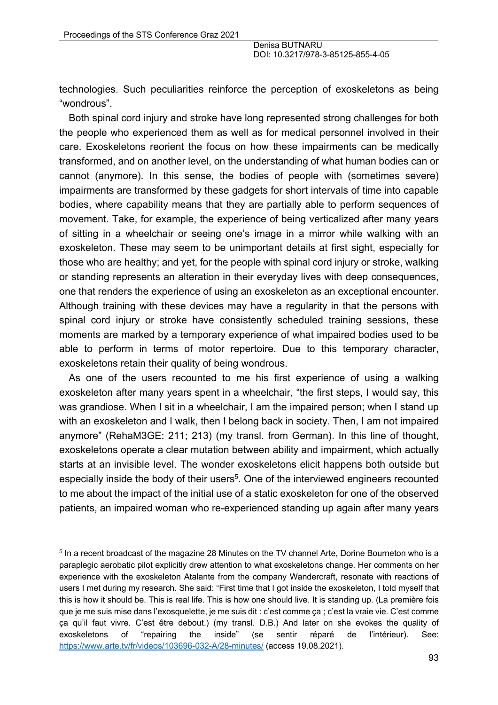technologies. Such peculiarities reinforce the perception of exoskeletons as being "wondrous".

Both spinal cord injury and stroke have long represented strong challenges for both the people who experienced them as well as for medical personnel involved in their care. Exoskeletons reorient the focus on how these impairments can be medically transformed, and on another level, on the understanding of what human bodies can or cannot (anymore). In this sense, the bodies of people with (sometimes severe) impairments are transformed by these gadgets for short intervals of time into capable bodies, where capability means that they are partially able to perform sequences of movement. Take, for example, the experience of being verticalized after many years of sitting in a wheelchair or seeing one's image in a mirror while walking with an exoskeleton. These may seem to be unimportant details at first sight, especially for those who are healthy; and yet, for the people with spinal cord injury or stroke, walking or standing represents an alteration in their everyday lives with deep consequences, one that renders the experience of using an exoskeleton as an exceptional encounter. Although training with these devices may have a regularity in that the persons with spinal cord injury or stroke have consistently scheduled training sessions, these moments are marked by a temporary experience of what impaired bodies used to be able to perform in terms of motor repertoire. Due to this temporary character, exoskeletons retain their quality of being wondrous.

As one of the users recounted to me his first experience of using a walking exoskeleton after many years spent in a wheelchair, "the first steps, I would say, this was grandiose. When I sit in a wheelchair, I am the impaired person; when I stand up with an exoskeleton and I walk, then I belong back in society. Then, I am not impaired anymore" (RehaM3GE: 211; 213) (my transl. from German). In this line of thought, exoskeletons operate a clear mutation between ability and impairment, which actually starts at an invisible level. The wonder exoskeletons elicit happens both outside but especially inside the body of their users<sup>5</sup>. One of the interviewed engineers recounted to me about the impact of the initial use of a static exoskeleton for one of the observed patients, an impaired woman who re-experienced standing up again after many years

<sup>5</sup> In a recent broadcast of the magazine 28 Minutes on the TV channel Arte, Dorine Bourneton who is a paraplegic aerobatic pilot explicitly drew attention to what exoskeletons change. Her comments on her experience with the exoskeleton Atalante from the company Wandercraft, resonate with reactions of users I met during my research. She said: "First time that I got inside the exoskeleton, I told myself that this is how it should be. This is real life. This is how one should live. It is standing up. (La première fois que je me suis mise dans l'exosquelette, je me suis dit : c'est comme ça ; c'est la vraie vie. C'est comme ça qu'il faut vivre. C'est être debout.) (my transl. D.B.) And later on she evokes the quality of exoskeletons of "repairing the inside" (se sentir réparé de l'intérieur). See: https://www.arte.tv/fr/videos/103696-032-A/28-minutes/ (access 19.08.2021).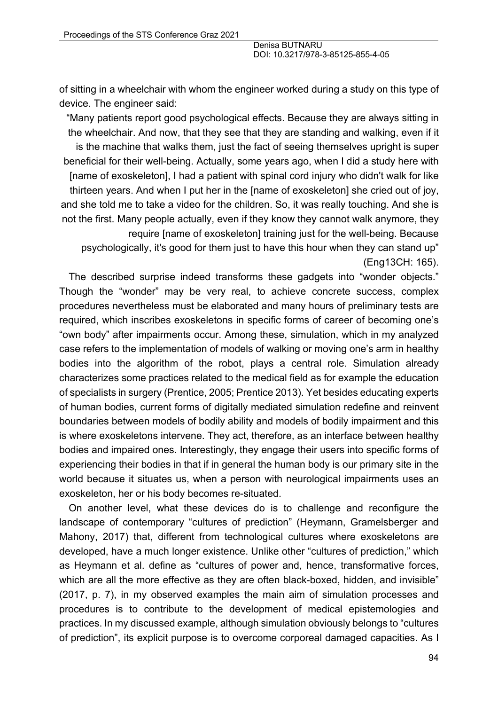of sitting in a wheelchair with whom the engineer worked during a study on this type of device. The engineer said:

"Many patients report good psychological effects. Because they are always sitting in the wheelchair. And now, that they see that they are standing and walking, even if it is the machine that walks them, just the fact of seeing themselves upright is super beneficial for their well-being. Actually, some years ago, when I did a study here with [name of exoskeleton], I had a patient with spinal cord injury who didn't walk for like thirteen years. And when I put her in the [name of exoskeleton] she cried out of joy, and she told me to take a video for the children. So, it was really touching. And she is not the first. Many people actually, even if they know they cannot walk anymore, they require [name of exoskeleton] training just for the well-being. Because psychologically, it's good for them just to have this hour when they can stand up" (Eng13CH: 165).

The described surprise indeed transforms these gadgets into "wonder objects." Though the "wonder" may be very real, to achieve concrete success, complex procedures nevertheless must be elaborated and many hours of preliminary tests are required, which inscribes exoskeletons in specific forms of career of becoming one's "own body" after impairments occur. Among these, simulation, which in my analyzed case refers to the implementation of models of walking or moving one's arm in healthy bodies into the algorithm of the robot, plays a central role. Simulation already characterizes some practices related to the medical field as for example the education of specialists in surgery (Prentice, 2005; Prentice 2013). Yet besides educating experts of human bodies, current forms of digitally mediated simulation redefine and reinvent boundaries between models of bodily ability and models of bodily impairment and this is where exoskeletons intervene. They act, therefore, as an interface between healthy bodies and impaired ones. Interestingly, they engage their users into specific forms of experiencing their bodies in that if in general the human body is our primary site in the world because it situates us, when a person with neurological impairments uses an exoskeleton, her or his body becomes re-situated.

On another level, what these devices do is to challenge and reconfigure the landscape of contemporary "cultures of prediction" (Heymann, Gramelsberger and Mahony, 2017) that, different from technological cultures where exoskeletons are developed, have a much longer existence. Unlike other "cultures of prediction," which as Heymann et al. define as "cultures of power and, hence, transformative forces, which are all the more effective as they are often black-boxed, hidden, and invisible" (2017, p. 7), in my observed examples the main aim of simulation processes and procedures is to contribute to the development of medical epistemologies and practices. In my discussed example, although simulation obviously belongs to "cultures of prediction", its explicit purpose is to overcome corporeal damaged capacities. As I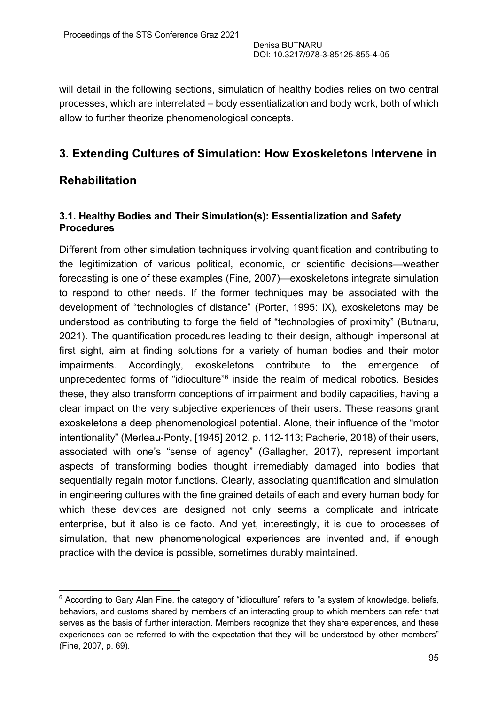will detail in the following sections, simulation of healthy bodies relies on two central processes, which are interrelated – body essentialization and body work, both of which allow to further theorize phenomenological concepts.

### **3. Extending Cultures of Simulation: How Exoskeletons Intervene in**

### **Rehabilitation**

### **3.1. Healthy Bodies and Their Simulation(s): Essentialization and Safety Procedures**

Different from other simulation techniques involving quantification and contributing to the legitimization of various political, economic, or scientific decisions—weather forecasting is one of these examples (Fine, 2007)—exoskeletons integrate simulation to respond to other needs. If the former techniques may be associated with the development of "technologies of distance" (Porter, 1995: IX), exoskeletons may be understood as contributing to forge the field of "technologies of proximity" (Butnaru, 2021). The quantification procedures leading to their design, although impersonal at first sight, aim at finding solutions for a variety of human bodies and their motor impairments. Accordingly, exoskeletons contribute to the emergence of unprecedented forms of "idioculture"6 inside the realm of medical robotics. Besides these, they also transform conceptions of impairment and bodily capacities, having a clear impact on the very subjective experiences of their users. These reasons grant exoskeletons a deep phenomenological potential. Alone, their influence of the "motor intentionality" (Merleau-Ponty, [1945] 2012, p. 112-113; Pacherie, 2018) of their users, associated with one's "sense of agency" (Gallagher, 2017), represent important aspects of transforming bodies thought irremediably damaged into bodies that sequentially regain motor functions. Clearly, associating quantification and simulation in engineering cultures with the fine grained details of each and every human body for which these devices are designed not only seems a complicate and intricate enterprise, but it also is de facto. And yet, interestingly, it is due to processes of simulation, that new phenomenological experiences are invented and, if enough practice with the device is possible, sometimes durably maintained.

<sup>&</sup>lt;sup>6</sup> According to Gary Alan Fine, the category of "idioculture" refers to "a system of knowledge, beliefs, behaviors, and customs shared by members of an interacting group to which members can refer that serves as the basis of further interaction. Members recognize that they share experiences, and these experiences can be referred to with the expectation that they will be understood by other members" (Fine, 2007, p. 69).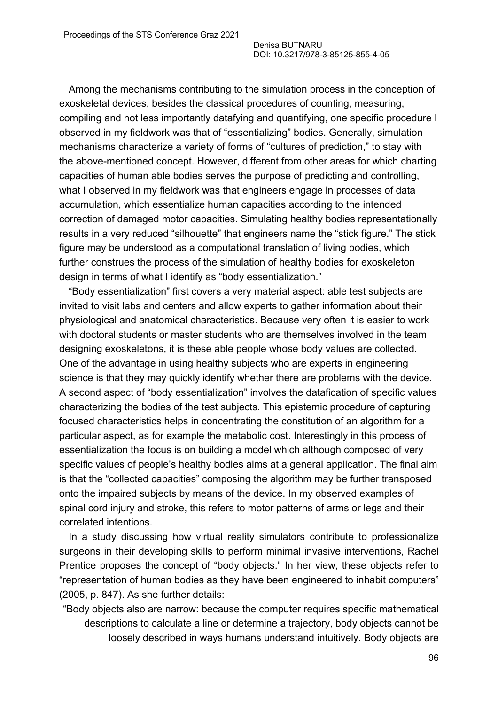Among the mechanisms contributing to the simulation process in the conception of exoskeletal devices, besides the classical procedures of counting, measuring, compiling and not less importantly datafying and quantifying, one specific procedure I observed in my fieldwork was that of "essentializing" bodies. Generally, simulation mechanisms characterize a variety of forms of "cultures of prediction," to stay with the above-mentioned concept. However, different from other areas for which charting capacities of human able bodies serves the purpose of predicting and controlling, what I observed in my fieldwork was that engineers engage in processes of data accumulation, which essentialize human capacities according to the intended correction of damaged motor capacities. Simulating healthy bodies representationally results in a very reduced "silhouette" that engineers name the "stick figure." The stick figure may be understood as a computational translation of living bodies, which further construes the process of the simulation of healthy bodies for exoskeleton design in terms of what I identify as "body essentialization."

"Body essentialization" first covers a very material aspect: able test subjects are invited to visit labs and centers and allow experts to gather information about their physiological and anatomical characteristics. Because very often it is easier to work with doctoral students or master students who are themselves involved in the team designing exoskeletons, it is these able people whose body values are collected. One of the advantage in using healthy subjects who are experts in engineering science is that they may quickly identify whether there are problems with the device. A second aspect of "body essentialization" involves the datafication of specific values characterizing the bodies of the test subjects. This epistemic procedure of capturing focused characteristics helps in concentrating the constitution of an algorithm for a particular aspect, as for example the metabolic cost. Interestingly in this process of essentialization the focus is on building a model which although composed of very specific values of people's healthy bodies aims at a general application. The final aim is that the "collected capacities" composing the algorithm may be further transposed onto the impaired subjects by means of the device. In my observed examples of spinal cord injury and stroke, this refers to motor patterns of arms or legs and their correlated intentions.

In a study discussing how virtual reality simulators contribute to professionalize surgeons in their developing skills to perform minimal invasive interventions, Rachel Prentice proposes the concept of "body objects." In her view, these objects refer to "representation of human bodies as they have been engineered to inhabit computers" (2005, p. 847). As she further details:

"Body objects also are narrow: because the computer requires specific mathematical descriptions to calculate a line or determine a trajectory, body objects cannot be loosely described in ways humans understand intuitively. Body objects are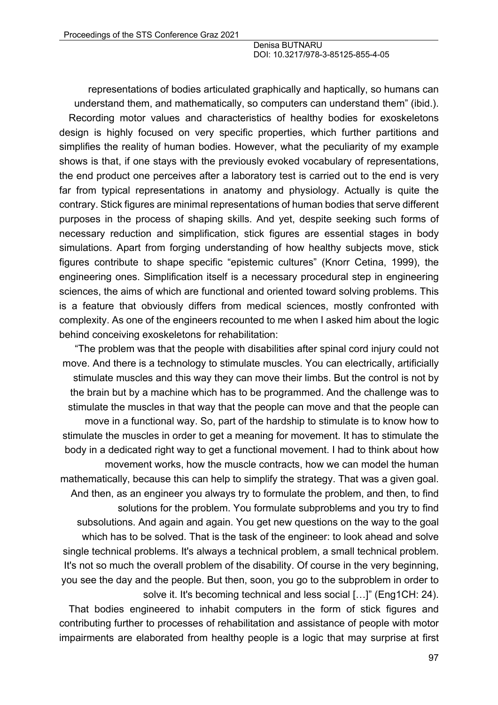representations of bodies articulated graphically and haptically, so humans can understand them, and mathematically, so computers can understand them" (ibid.). Recording motor values and characteristics of healthy bodies for exoskeletons design is highly focused on very specific properties, which further partitions and simplifies the reality of human bodies. However, what the peculiarity of my example shows is that, if one stays with the previously evoked vocabulary of representations, the end product one perceives after a laboratory test is carried out to the end is very far from typical representations in anatomy and physiology. Actually is quite the contrary. Stick figures are minimal representations of human bodies that serve different purposes in the process of shaping skills. And yet, despite seeking such forms of necessary reduction and simplification, stick figures are essential stages in body simulations. Apart from forging understanding of how healthy subjects move, stick figures contribute to shape specific "epistemic cultures" (Knorr Cetina, 1999), the engineering ones. Simplification itself is a necessary procedural step in engineering sciences, the aims of which are functional and oriented toward solving problems. This is a feature that obviously differs from medical sciences, mostly confronted with complexity. As one of the engineers recounted to me when I asked him about the logic behind conceiving exoskeletons for rehabilitation:

"The problem was that the people with disabilities after spinal cord injury could not move. And there is a technology to stimulate muscles. You can electrically, artificially stimulate muscles and this way they can move their limbs. But the control is not by the brain but by a machine which has to be programmed. And the challenge was to stimulate the muscles in that way that the people can move and that the people can move in a functional way. So, part of the hardship to stimulate is to know how to stimulate the muscles in order to get a meaning for movement. It has to stimulate the body in a dedicated right way to get a functional movement. I had to think about how movement works, how the muscle contracts, how we can model the human mathematically, because this can help to simplify the strategy. That was a given goal. And then, as an engineer you always try to formulate the problem, and then, to find solutions for the problem. You formulate subproblems and you try to find subsolutions. And again and again. You get new questions on the way to the goal which has to be solved. That is the task of the engineer: to look ahead and solve single technical problems. It's always a technical problem, a small technical problem. It's not so much the overall problem of the disability. Of course in the very beginning, you see the day and the people. But then, soon, you go to the subproblem in order to solve it. It's becoming technical and less social [...]" (Eng1CH: 24).

That bodies engineered to inhabit computers in the form of stick figures and contributing further to processes of rehabilitation and assistance of people with motor impairments are elaborated from healthy people is a logic that may surprise at first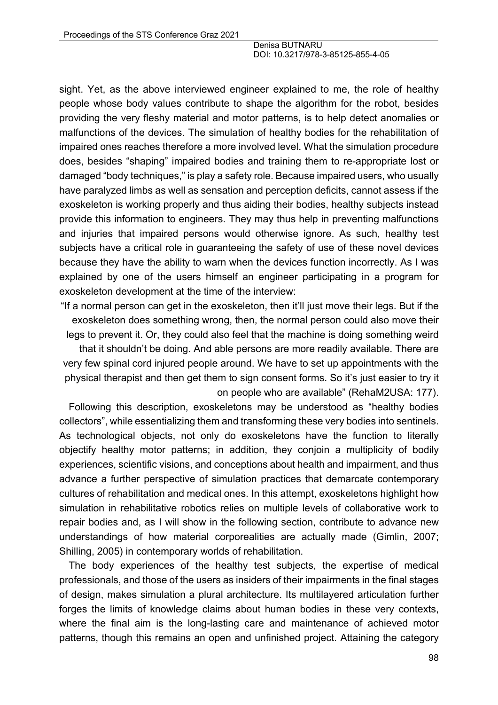sight. Yet, as the above interviewed engineer explained to me, the role of healthy people whose body values contribute to shape the algorithm for the robot, besides providing the very fleshy material and motor patterns, is to help detect anomalies or malfunctions of the devices. The simulation of healthy bodies for the rehabilitation of impaired ones reaches therefore a more involved level. What the simulation procedure does, besides "shaping" impaired bodies and training them to re-appropriate lost or damaged "body techniques," is play a safety role. Because impaired users, who usually have paralyzed limbs as well as sensation and perception deficits, cannot assess if the exoskeleton is working properly and thus aiding their bodies, healthy subjects instead provide this information to engineers. They may thus help in preventing malfunctions and injuries that impaired persons would otherwise ignore. As such, healthy test subjects have a critical role in guaranteeing the safety of use of these novel devices because they have the ability to warn when the devices function incorrectly. As I was explained by one of the users himself an engineer participating in a program for exoskeleton development at the time of the interview:

"If a normal person can get in the exoskeleton, then it'll just move their legs. But if the exoskeleton does something wrong, then, the normal person could also move their legs to prevent it. Or, they could also feel that the machine is doing something weird

that it shouldn't be doing. And able persons are more readily available. There are very few spinal cord injured people around. We have to set up appointments with the physical therapist and then get them to sign consent forms. So it's just easier to try it on people who are available" (RehaM2USA: 177).

Following this description, exoskeletons may be understood as "healthy bodies collectors", while essentializing them and transforming these very bodies into sentinels. As technological objects, not only do exoskeletons have the function to literally objectify healthy motor patterns; in addition, they conjoin a multiplicity of bodily experiences, scientific visions, and conceptions about health and impairment, and thus advance a further perspective of simulation practices that demarcate contemporary cultures of rehabilitation and medical ones. In this attempt, exoskeletons highlight how simulation in rehabilitative robotics relies on multiple levels of collaborative work to repair bodies and, as I will show in the following section, contribute to advance new understandings of how material corporealities are actually made (Gimlin, 2007; Shilling, 2005) in contemporary worlds of rehabilitation.

The body experiences of the healthy test subjects, the expertise of medical professionals, and those of the users as insiders of their impairments in the final stages of design, makes simulation a plural architecture. Its multilayered articulation further forges the limits of knowledge claims about human bodies in these very contexts, where the final aim is the long-lasting care and maintenance of achieved motor patterns, though this remains an open and unfinished project. Attaining the category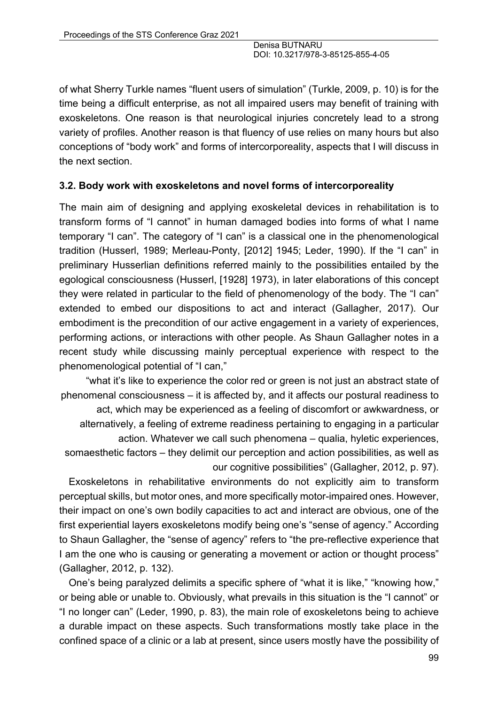of what Sherry Turkle names "fluent users of simulation" (Turkle, 2009, p. 10) is for the time being a difficult enterprise, as not all impaired users may benefit of training with exoskeletons. One reason is that neurological injuries concretely lead to a strong variety of profiles. Another reason is that fluency of use relies on many hours but also conceptions of "body work" and forms of intercorporeality, aspects that I will discuss in the next section.

#### **3.2. Body work with exoskeletons and novel forms of intercorporeality**

The main aim of designing and applying exoskeletal devices in rehabilitation is to transform forms of "I cannot" in human damaged bodies into forms of what I name temporary "I can". The category of "I can" is a classical one in the phenomenological tradition (Husserl, 1989; Merleau-Ponty, [2012] 1945; Leder, 1990). If the "I can" in preliminary Husserlian definitions referred mainly to the possibilities entailed by the egological consciousness (Husserl, [1928] 1973), in later elaborations of this concept they were related in particular to the field of phenomenology of the body. The "I can" extended to embed our dispositions to act and interact (Gallagher, 2017). Our embodiment is the precondition of our active engagement in a variety of experiences, performing actions, or interactions with other people. As Shaun Gallagher notes in a recent study while discussing mainly perceptual experience with respect to the phenomenological potential of "I can,"

"what it's like to experience the color red or green is not just an abstract state of phenomenal consciousness – it is affected by, and it affects our postural readiness to

act, which may be experienced as a feeling of discomfort or awkwardness, or alternatively, a feeling of extreme readiness pertaining to engaging in a particular action. Whatever we call such phenomena – qualia, hyletic experiences, somaesthetic factors – they delimit our perception and action possibilities, as well as our cognitive possibilities" (Gallagher, 2012, p. 97).

Exoskeletons in rehabilitative environments do not explicitly aim to transform perceptual skills, but motor ones, and more specifically motor-impaired ones. However, their impact on one's own bodily capacities to act and interact are obvious, one of the first experiential layers exoskeletons modify being one's "sense of agency." According to Shaun Gallagher, the "sense of agency" refers to "the pre-reflective experience that I am the one who is causing or generating a movement or action or thought process" (Gallagher, 2012, p. 132).

One's being paralyzed delimits a specific sphere of "what it is like," "knowing how," or being able or unable to. Obviously, what prevails in this situation is the "I cannot" or "I no longer can" (Leder, 1990, p. 83), the main role of exoskeletons being to achieve a durable impact on these aspects. Such transformations mostly take place in the confined space of a clinic or a lab at present, since users mostly have the possibility of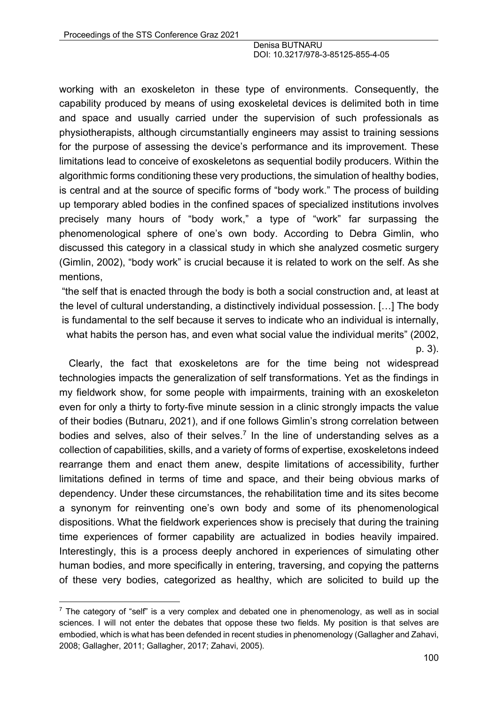working with an exoskeleton in these type of environments. Consequently, the capability produced by means of using exoskeletal devices is delimited both in time and space and usually carried under the supervision of such professionals as physiotherapists, although circumstantially engineers may assist to training sessions for the purpose of assessing the device's performance and its improvement. These limitations lead to conceive of exoskeletons as sequential bodily producers. Within the algorithmic forms conditioning these very productions, the simulation of healthy bodies, is central and at the source of specific forms of "body work." The process of building up temporary abled bodies in the confined spaces of specialized institutions involves precisely many hours of "body work," a type of "work" far surpassing the phenomenological sphere of one's own body. According to Debra Gimlin, who discussed this category in a classical study in which she analyzed cosmetic surgery (Gimlin, 2002), "body work" is crucial because it is related to work on the self. As she mentions,

"the self that is enacted through the body is both a social construction and, at least at the level of cultural understanding, a distinctively individual possession. […] The body is fundamental to the self because it serves to indicate who an individual is internally, what habits the person has, and even what social value the individual merits" (2002, p. 3).

Clearly, the fact that exoskeletons are for the time being not widespread technologies impacts the generalization of self transformations. Yet as the findings in my fieldwork show, for some people with impairments, training with an exoskeleton even for only a thirty to forty-five minute session in a clinic strongly impacts the value of their bodies (Butnaru, 2021), and if one follows Gimlin's strong correlation between bodies and selves, also of their selves.<sup>7</sup> In the line of understanding selves as a collection of capabilities, skills, and a variety of forms of expertise, exoskeletons indeed rearrange them and enact them anew, despite limitations of accessibility, further limitations defined in terms of time and space, and their being obvious marks of dependency. Under these circumstances, the rehabilitation time and its sites become a synonym for reinventing one's own body and some of its phenomenological dispositions. What the fieldwork experiences show is precisely that during the training time experiences of former capability are actualized in bodies heavily impaired. Interestingly, this is a process deeply anchored in experiences of simulating other human bodies, and more specifically in entering, traversing, and copying the patterns of these very bodies, categorized as healthy, which are solicited to build up the

 $\frac{7}{1}$  The category of "self" is a very complex and debated one in phenomenology, as well as in social sciences. I will not enter the debates that oppose these two fields. My position is that selves are embodied, which is what has been defended in recent studies in phenomenology (Gallagher and Zahavi, 2008; Gallagher, 2011; Gallagher, 2017; Zahavi, 2005).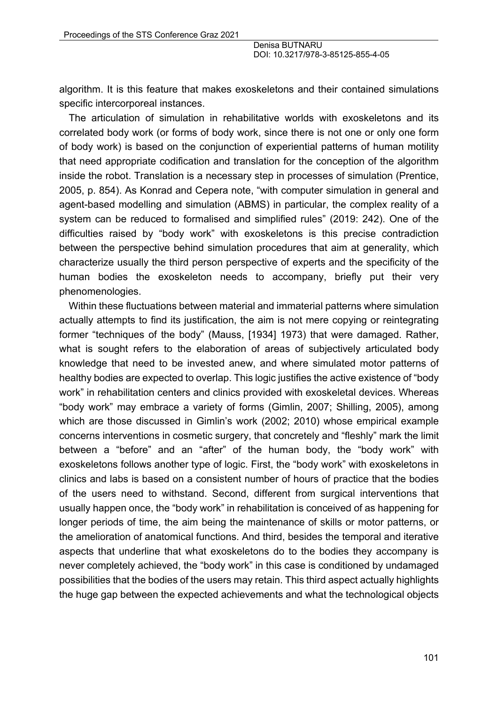algorithm. It is this feature that makes exoskeletons and their contained simulations specific intercorporeal instances.

The articulation of simulation in rehabilitative worlds with exoskeletons and its correlated body work (or forms of body work, since there is not one or only one form of body work) is based on the conjunction of experiential patterns of human motility that need appropriate codification and translation for the conception of the algorithm inside the robot. Translation is a necessary step in processes of simulation (Prentice, 2005, p. 854). As Konrad and Cepera note, "with computer simulation in general and agent-based modelling and simulation (ABMS) in particular, the complex reality of a system can be reduced to formalised and simplified rules" (2019: 242). One of the difficulties raised by "body work" with exoskeletons is this precise contradiction between the perspective behind simulation procedures that aim at generality, which characterize usually the third person perspective of experts and the specificity of the human bodies the exoskeleton needs to accompany, briefly put their very phenomenologies.

Within these fluctuations between material and immaterial patterns where simulation actually attempts to find its justification, the aim is not mere copying or reintegrating former "techniques of the body" (Mauss, [1934] 1973) that were damaged. Rather, what is sought refers to the elaboration of areas of subjectively articulated body knowledge that need to be invested anew, and where simulated motor patterns of healthy bodies are expected to overlap. This logic justifies the active existence of "body work" in rehabilitation centers and clinics provided with exoskeletal devices. Whereas "body work" may embrace a variety of forms (Gimlin, 2007; Shilling, 2005), among which are those discussed in Gimlin's work (2002; 2010) whose empirical example concerns interventions in cosmetic surgery, that concretely and "fleshly" mark the limit between a "before" and an "after" of the human body, the "body work" with exoskeletons follows another type of logic. First, the "body work" with exoskeletons in clinics and labs is based on a consistent number of hours of practice that the bodies of the users need to withstand. Second, different from surgical interventions that usually happen once, the "body work" in rehabilitation is conceived of as happening for longer periods of time, the aim being the maintenance of skills or motor patterns, or the amelioration of anatomical functions. And third, besides the temporal and iterative aspects that underline that what exoskeletons do to the bodies they accompany is never completely achieved, the "body work" in this case is conditioned by undamaged possibilities that the bodies of the users may retain. This third aspect actually highlights the huge gap between the expected achievements and what the technological objects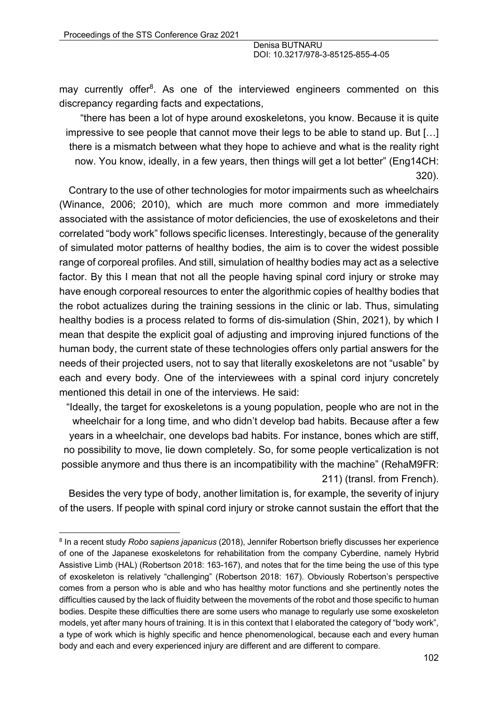may currently offer<sup>8</sup>. As one of the interviewed engineers commented on this discrepancy regarding facts and expectations,

"there has been a lot of hype around exoskeletons, you know. Because it is quite impressive to see people that cannot move their legs to be able to stand up. But […] there is a mismatch between what they hope to achieve and what is the reality right now. You know, ideally, in a few years, then things will get a lot better" (Eng14CH: 320).

Contrary to the use of other technologies for motor impairments such as wheelchairs (Winance, 2006; 2010), which are much more common and more immediately associated with the assistance of motor deficiencies, the use of exoskeletons and their correlated "body work" follows specific licenses. Interestingly, because of the generality of simulated motor patterns of healthy bodies, the aim is to cover the widest possible range of corporeal profiles. And still, simulation of healthy bodies may act as a selective factor. By this I mean that not all the people having spinal cord injury or stroke may have enough corporeal resources to enter the algorithmic copies of healthy bodies that the robot actualizes during the training sessions in the clinic or lab. Thus, simulating healthy bodies is a process related to forms of dis-simulation (Shin, 2021), by which I mean that despite the explicit goal of adjusting and improving injured functions of the human body, the current state of these technologies offers only partial answers for the needs of their projected users, not to say that literally exoskeletons are not "usable" by each and every body. One of the interviewees with a spinal cord injury concretely mentioned this detail in one of the interviews. He said:

"Ideally, the target for exoskeletons is a young population, people who are not in the wheelchair for a long time, and who didn't develop bad habits. Because after a few years in a wheelchair, one develops bad habits. For instance, bones which are stiff, no possibility to move, lie down completely. So, for some people verticalization is not possible anymore and thus there is an incompatibility with the machine" (RehaM9FR: 211) (transl. from French).

Besides the very type of body, another limitation is, for example, the severity of injury of the users. If people with spinal cord injury or stroke cannot sustain the effort that the

<sup>8</sup> In a recent study *Robo sapiens japanicus* (2018), Jennifer Robertson briefly discusses her experience of one of the Japanese exoskeletons for rehabilitation from the company Cyberdine, namely Hybrid Assistive Limb (HAL) (Robertson 2018: 163-167), and notes that for the time being the use of this type of exoskeleton is relatively "challenging" (Robertson 2018: 167). Obviously Robertson's perspective comes from a person who is able and who has healthy motor functions and she pertinently notes the difficulties caused by the lack of fluidity between the movements of the robot and those specific to human bodies. Despite these difficulties there are some users who manage to regularly use some exoskeleton models, yet after many hours of training. It is in this context that I elaborated the category of "body work", a type of work which is highly specific and hence phenomenological, because each and every human body and each and every experienced injury are different and are different to compare.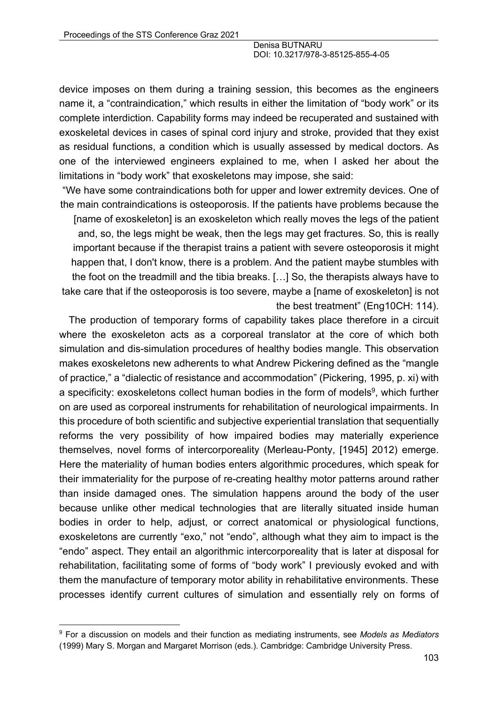device imposes on them during a training session, this becomes as the engineers name it, a "contraindication," which results in either the limitation of "body work" or its complete interdiction. Capability forms may indeed be recuperated and sustained with exoskeletal devices in cases of spinal cord injury and stroke, provided that they exist as residual functions, a condition which is usually assessed by medical doctors. As one of the interviewed engineers explained to me, when I asked her about the limitations in "body work" that exoskeletons may impose, she said:

"We have some contraindications both for upper and lower extremity devices. One of the main contraindications is osteoporosis. If the patients have problems because the

[name of exoskeleton] is an exoskeleton which really moves the legs of the patient and, so, the legs might be weak, then the legs may get fractures. So, this is really important because if the therapist trains a patient with severe osteoporosis it might happen that, I don't know, there is a problem. And the patient maybe stumbles with the foot on the treadmill and the tibia breaks. […] So, the therapists always have to take care that if the osteoporosis is too severe, maybe a [name of exoskeleton] is not the best treatment" (Eng10CH: 114).

The production of temporary forms of capability takes place therefore in a circuit where the exoskeleton acts as a corporeal translator at the core of which both simulation and dis-simulation procedures of healthy bodies mangle. This observation makes exoskeletons new adherents to what Andrew Pickering defined as the "mangle of practice," a "dialectic of resistance and accommodation" (Pickering, 1995, p. xi) with a specificity: exoskeletons collect human bodies in the form of models<sup>9</sup>, which further on are used as corporeal instruments for rehabilitation of neurological impairments. In this procedure of both scientific and subjective experiential translation that sequentially reforms the very possibility of how impaired bodies may materially experience themselves, novel forms of intercorporeality (Merleau-Ponty, [1945] 2012) emerge. Here the materiality of human bodies enters algorithmic procedures, which speak for their immateriality for the purpose of re-creating healthy motor patterns around rather than inside damaged ones. The simulation happens around the body of the user because unlike other medical technologies that are literally situated inside human bodies in order to help, adjust, or correct anatomical or physiological functions, exoskeletons are currently "exo," not "endo", although what they aim to impact is the "endo" aspect. They entail an algorithmic intercorporeality that is later at disposal for rehabilitation, facilitating some of forms of "body work" I previously evoked and with them the manufacture of temporary motor ability in rehabilitative environments. These processes identify current cultures of simulation and essentially rely on forms of

<sup>9</sup> For a discussion on models and their function as mediating instruments, see *Models as Mediators* (1999) Mary S. Morgan and Margaret Morrison (eds.). Cambridge: Cambridge University Press.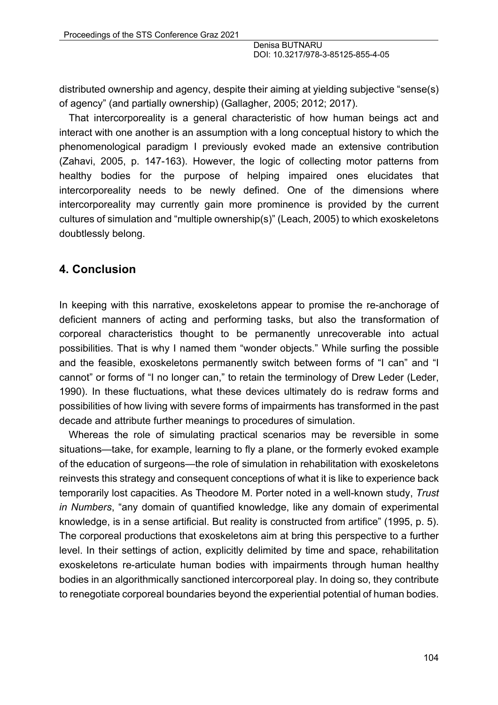distributed ownership and agency, despite their aiming at yielding subjective "sense(s) of agency" (and partially ownership) (Gallagher, 2005; 2012; 2017).

That intercorporeality is a general characteristic of how human beings act and interact with one another is an assumption with a long conceptual history to which the phenomenological paradigm I previously evoked made an extensive contribution (Zahavi, 2005, p. 147-163). However, the logic of collecting motor patterns from healthy bodies for the purpose of helping impaired ones elucidates that intercorporeality needs to be newly defined. One of the dimensions where intercorporeality may currently gain more prominence is provided by the current cultures of simulation and "multiple ownership(s)" (Leach, 2005) to which exoskeletons doubtlessly belong.

### **4. Conclusion**

In keeping with this narrative, exoskeletons appear to promise the re-anchorage of deficient manners of acting and performing tasks, but also the transformation of corporeal characteristics thought to be permanently unrecoverable into actual possibilities. That is why I named them "wonder objects." While surfing the possible and the feasible, exoskeletons permanently switch between forms of "I can" and "I cannot" or forms of "I no longer can," to retain the terminology of Drew Leder (Leder, 1990). In these fluctuations, what these devices ultimately do is redraw forms and possibilities of how living with severe forms of impairments has transformed in the past decade and attribute further meanings to procedures of simulation.

Whereas the role of simulating practical scenarios may be reversible in some situations—take, for example, learning to fly a plane, or the formerly evoked example of the education of surgeons—the role of simulation in rehabilitation with exoskeletons reinvests this strategy and consequent conceptions of what it is like to experience back temporarily lost capacities. As Theodore M. Porter noted in a well-known study, *Trust in Numbers*, "any domain of quantified knowledge, like any domain of experimental knowledge, is in a sense artificial. But reality is constructed from artifice" (1995, p. 5). The corporeal productions that exoskeletons aim at bring this perspective to a further level. In their settings of action, explicitly delimited by time and space, rehabilitation exoskeletons re-articulate human bodies with impairments through human healthy bodies in an algorithmically sanctioned intercorporeal play. In doing so, they contribute to renegotiate corporeal boundaries beyond the experiential potential of human bodies.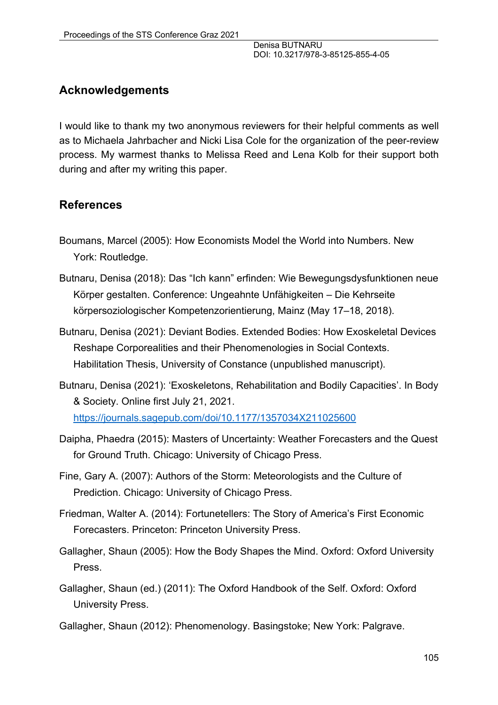# **Acknowledgements**

I would like to thank my two anonymous reviewers for their helpful comments as well as to Michaela Jahrbacher and Nicki Lisa Cole for the organization of the peer-review process. My warmest thanks to Melissa Reed and Lena Kolb for their support both during and after my writing this paper.

### **References**

- Boumans, Marcel (2005): How Economists Model the World into Numbers. New York: Routledge.
- Butnaru, Denisa (2018): Das "Ich kann" erfinden: Wie Bewegungsdysfunktionen neue Körper gestalten. Conference: Ungeahnte Unfähigkeiten – Die Kehrseite körpersoziologischer Kompetenzorientierung, Mainz (May 17–18, 2018).
- Butnaru, Denisa (2021): Deviant Bodies. Extended Bodies: How Exoskeletal Devices Reshape Corporealities and their Phenomenologies in Social Contexts. Habilitation Thesis, University of Constance (unpublished manuscript).
- Butnaru, Denisa (2021): 'Exoskeletons, Rehabilitation and Bodily Capacities'. In Body & Society. Online first July 21, 2021. https://journals.sagepub.com/doi/10.1177/1357034X211025600
- Daipha, Phaedra (2015): Masters of Uncertainty: Weather Forecasters and the Quest for Ground Truth. Chicago: University of Chicago Press.
- Fine, Gary A. (2007): Authors of the Storm: Meteorologists and the Culture of Prediction. Chicago: University of Chicago Press.
- Friedman, Walter A. (2014): Fortunetellers: The Story of America's First Economic Forecasters. Princeton: Princeton University Press.
- Gallagher, Shaun (2005): How the Body Shapes the Mind. Oxford: Oxford University Press.
- Gallagher, Shaun (ed.) (2011): The Oxford Handbook of the Self. Oxford: Oxford University Press.
- Gallagher, Shaun (2012): Phenomenology. Basingstoke; New York: Palgrave.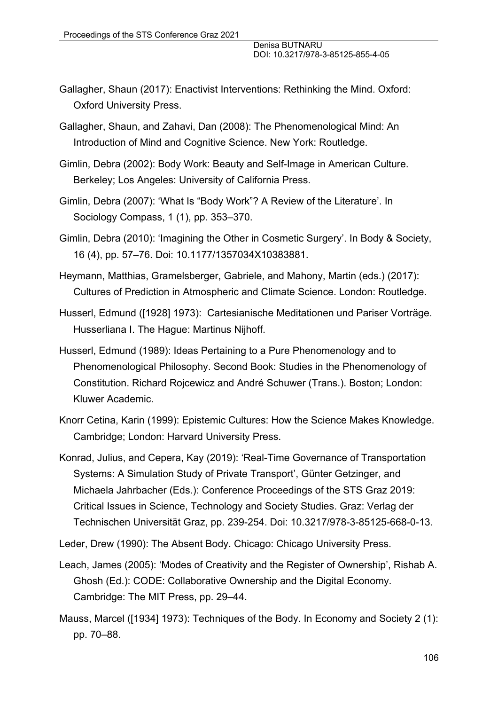- Gallagher, Shaun (2017): Enactivist Interventions: Rethinking the Mind. Oxford: Oxford University Press.
- Gallagher, Shaun, and Zahavi, Dan (2008): The Phenomenological Mind: An Introduction of Mind and Cognitive Science. New York: Routledge.
- Gimlin, Debra (2002): Body Work: Beauty and Self-Image in American Culture. Berkeley; Los Angeles: University of California Press.
- Gimlin, Debra (2007): 'What Is "Body Work"? A Review of the Literature'. In Sociology Compass, 1 (1), pp. 353–370.
- Gimlin, Debra (2010): 'Imagining the Other in Cosmetic Surgery'. In Body & Society, 16 (4), pp. 57–76. Doi: 10.1177/1357034X10383881.
- Heymann, Matthias, Gramelsberger, Gabriele, and Mahony, Martin (eds.) (2017): Cultures of Prediction in Atmospheric and Climate Science. London: Routledge.
- Husserl, Edmund ([1928] 1973): Cartesianische Meditationen und Pariser Vorträge. Husserliana I. The Hague: Martinus Nijhoff.
- Husserl, Edmund (1989): Ideas Pertaining to a Pure Phenomenology and to Phenomenological Philosophy. Second Book: Studies in the Phenomenology of Constitution. Richard Rojcewicz and André Schuwer (Trans.). Boston; London: Kluwer Academic.
- Knorr Cetina, Karin (1999): Epistemic Cultures: How the Science Makes Knowledge. Cambridge; London: Harvard University Press.
- Konrad, Julius, and Cepera, Kay (2019): 'Real-Time Governance of Transportation Systems: A Simulation Study of Private Transport', Günter Getzinger, and Michaela Jahrbacher (Eds.): Conference Proceedings of the STS Graz 2019: Critical Issues in Science, Technology and Society Studies. Graz: Verlag der Technischen Universität Graz, pp. 239-254. Doi: 10.3217/978-3-85125-668-0-13.
- Leder, Drew (1990): The Absent Body. Chicago: Chicago University Press.
- Leach, James (2005): 'Modes of Creativity and the Register of Ownership', Rishab A. Ghosh (Ed.): CODE: Collaborative Ownership and the Digital Economy. Cambridge: The MIT Press, pp. 29–44.
- Mauss, Marcel ([1934] 1973): Techniques of the Body. In Economy and Society 2 (1): pp. 70–88.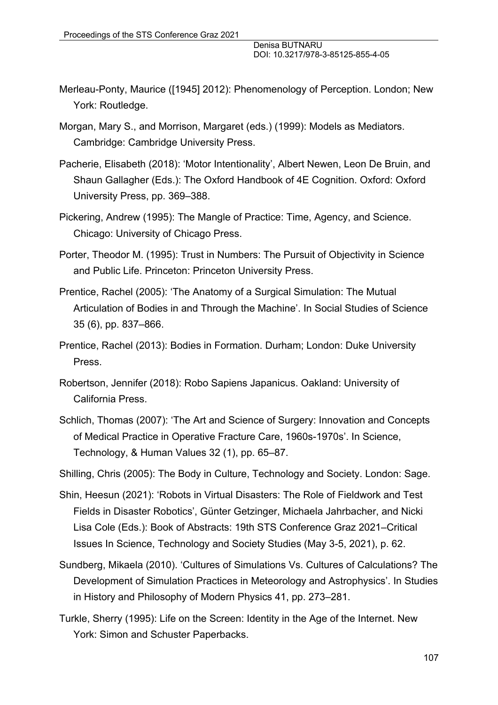- Merleau-Ponty, Maurice ([1945] 2012): Phenomenology of Perception. London; New York: Routledge.
- Morgan, Mary S., and Morrison, Margaret (eds.) (1999): Models as Mediators. Cambridge: Cambridge University Press.
- Pacherie, Elisabeth (2018): 'Motor Intentionality', Albert Newen, Leon De Bruin, and Shaun Gallagher (Eds.): The Oxford Handbook of 4E Cognition. Oxford: Oxford University Press, pp. 369–388.
- Pickering, Andrew (1995): The Mangle of Practice: Time, Agency, and Science. Chicago: University of Chicago Press.
- Porter, Theodor M. (1995): Trust in Numbers: The Pursuit of Objectivity in Science and Public Life. Princeton: Princeton University Press.
- Prentice, Rachel (2005): 'The Anatomy of a Surgical Simulation: The Mutual Articulation of Bodies in and Through the Machine'. In Social Studies of Science 35 (6), pp. 837–866.
- Prentice, Rachel (2013): Bodies in Formation. Durham; London: Duke University Press.
- Robertson, Jennifer (2018): Robo Sapiens Japanicus. Oakland: University of California Press.
- Schlich, Thomas (2007): 'The Art and Science of Surgery: Innovation and Concepts of Medical Practice in Operative Fracture Care, 1960s-1970s'. In Science, Technology, & Human Values 32 (1), pp. 65–87.
- Shilling, Chris (2005): The Body in Culture, Technology and Society. London: Sage.
- Shin, Heesun (2021): 'Robots in Virtual Disasters: The Role of Fieldwork and Test Fields in Disaster Robotics', Günter Getzinger, Michaela Jahrbacher, and Nicki Lisa Cole (Eds.): Book of Abstracts: 19th STS Conference Graz 2021–Critical Issues In Science, Technology and Society Studies (May 3-5, 2021), p. 62.
- Sundberg, Mikaela (2010). 'Cultures of Simulations Vs. Cultures of Calculations? The Development of Simulation Practices in Meteorology and Astrophysics'. In Studies in History and Philosophy of Modern Physics 41, pp. 273–281.
- Turkle, Sherry (1995): Life on the Screen: Identity in the Age of the Internet. New York: Simon and Schuster Paperbacks.